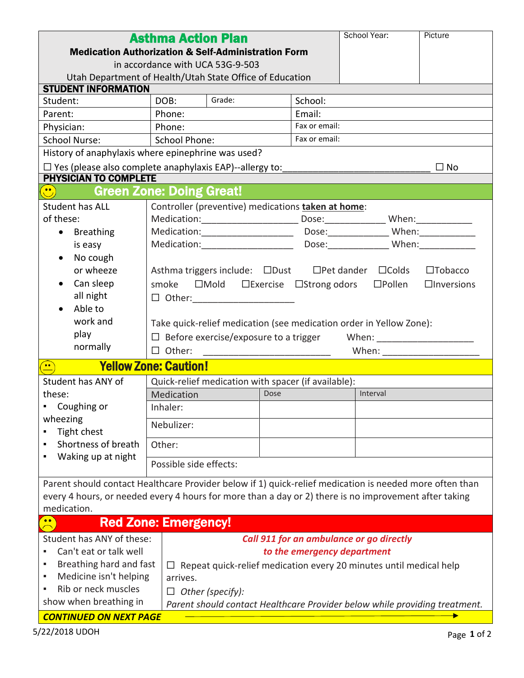| <b>Asthma Action Plan</b>                                                                               |                                                                                             |               | School Year: | Picture           |  |
|---------------------------------------------------------------------------------------------------------|---------------------------------------------------------------------------------------------|---------------|--------------|-------------------|--|
| <b>Medication Authorization &amp; Self-Administration Form</b>                                          |                                                                                             |               |              |                   |  |
| in accordance with UCA 53G-9-503                                                                        |                                                                                             |               |              |                   |  |
| Utah Department of Health/Utah State Office of Education                                                |                                                                                             |               |              |                   |  |
| <b>STUDENT INFORMATION</b>                                                                              |                                                                                             |               |              |                   |  |
| Student:                                                                                                | Grade:<br>DOB:                                                                              | School:       |              |                   |  |
| Parent:                                                                                                 | Phone:                                                                                      | Email:        |              |                   |  |
| Physician:                                                                                              | Phone:                                                                                      | Fax or email: |              |                   |  |
| <b>School Nurse:</b>                                                                                    | Fax or email:<br><b>School Phone:</b>                                                       |               |              |                   |  |
| History of anaphylaxis where epinephrine was used?                                                      |                                                                                             |               |              |                   |  |
| $\Box$ Yes (please also complete anaphylaxis EAP)--allergy to:<br>$\Box$ No                             |                                                                                             |               |              |                   |  |
| <b>PHYSICIAN TO COMPLETE</b>                                                                            |                                                                                             |               |              |                   |  |
| <b>Green Zone: Doing Great!</b><br>$\left(\begin{matrix}\bullet\end{matrix}\right)$                     |                                                                                             |               |              |                   |  |
| <b>Student has ALL</b>                                                                                  | Controller (preventive) medications taken at home:                                          |               |              |                   |  |
| of these:                                                                                               |                                                                                             |               |              |                   |  |
| <b>Breathing</b><br>$\bullet$                                                                           |                                                                                             |               |              |                   |  |
| is easy                                                                                                 |                                                                                             |               |              |                   |  |
| No cough<br>$\bullet$                                                                                   |                                                                                             |               |              |                   |  |
| or wheeze                                                                                               | Asthma triggers include: □Dust □Pet dander □Colds                                           |               |              | $\square$ Tobacco |  |
| Can sleep                                                                                               | $\Box$ Mold $\Box$ Exercise $\Box$ Strong odors $\Box$ Pollen<br>smoke<br>$\Box$ Inversions |               |              |                   |  |
| all night                                                                                               | $\Box$ Other: ______________________                                                        |               |              |                   |  |
| Able to                                                                                                 |                                                                                             |               |              |                   |  |
| work and                                                                                                | Take quick-relief medication (see medication order in Yellow Zone):                         |               |              |                   |  |
| play<br>$\Box$ Before exercise/exposure to a trigger<br>When: _________________________                 |                                                                                             |               |              |                   |  |
| normally                                                                                                | $\Box$ Other:                                                                               |               |              |                   |  |
| <b>Yellow Zone: Caution!</b><br>$\left(\frac{1}{2}\right)$                                              |                                                                                             |               |              |                   |  |
| Student has ANY of                                                                                      | Quick-relief medication with spacer (if available):                                         |               |              |                   |  |
| these:                                                                                                  | Medication                                                                                  | Dose          | Interval     |                   |  |
| Coughing or                                                                                             | Inhaler:                                                                                    |               |              |                   |  |
| wheezing<br>Tight chest                                                                                 | Nebulizer:                                                                                  |               |              |                   |  |
| Shortness of breath                                                                                     | Other:                                                                                      |               |              |                   |  |
| Waking up at night                                                                                      | Possible side effects:                                                                      |               |              |                   |  |
| Parent should contact Healthcare Provider below if 1) quick-relief medication is needed more often than |                                                                                             |               |              |                   |  |
| every 4 hours, or needed every 4 hours for more than a day or 2) there is no improvement after taking   |                                                                                             |               |              |                   |  |
| medication.                                                                                             |                                                                                             |               |              |                   |  |
| $\bullet$ $\bullet$                                                                                     | <b>Red Zone: Emergency!</b>                                                                 |               |              |                   |  |
|                                                                                                         |                                                                                             |               |              |                   |  |
| Student has ANY of these:                                                                               | Call 911 for an ambulance or go directly                                                    |               |              |                   |  |
| Can't eat or talk well                                                                                  | to the emergency department                                                                 |               |              |                   |  |
| Breathing hard and fast                                                                                 | Repeat quick-relief medication every 20 minutes until medical help<br>ப                     |               |              |                   |  |
| Medicine isn't helping<br>٠<br>Rib or neck muscles<br>٠                                                 | arrives.                                                                                    |               |              |                   |  |
| $\Box$ Other (specify):<br>show when breathing in                                                       |                                                                                             |               |              |                   |  |
| Parent should contact Healthcare Provider below while providing treatment.                              |                                                                                             |               |              |                   |  |
| <b>CONTINUED ON NEXT PAGE</b>                                                                           |                                                                                             |               |              |                   |  |